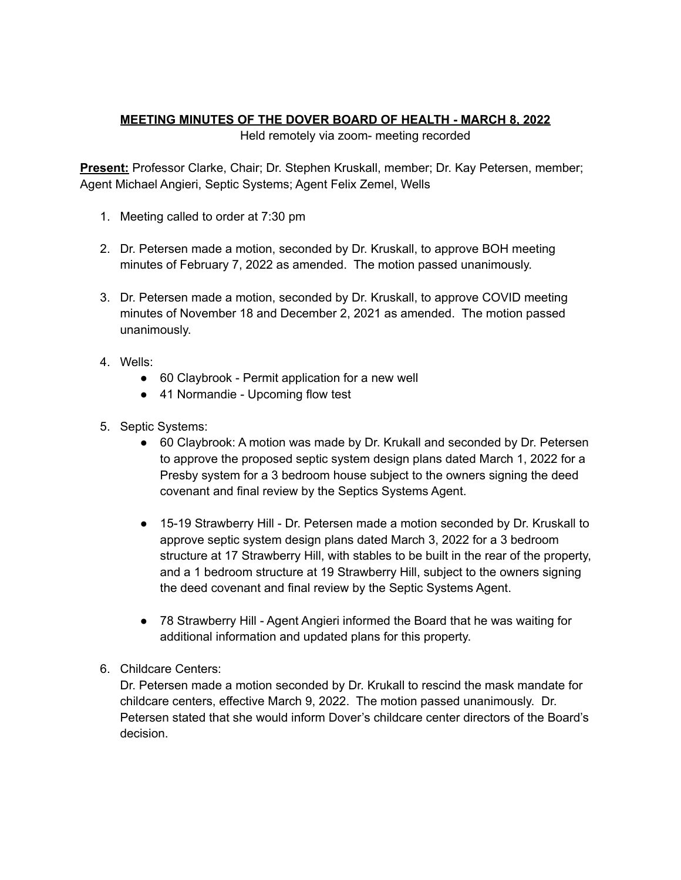## **MEETING MINUTES OF THE DOVER BOARD OF HEALTH - MARCH 8, 2022**

Held remotely via zoom- meeting recorded

**Present:** Professor Clarke, Chair; Dr. Stephen Kruskall, member; Dr. Kay Petersen, member; Agent Michael Angieri, Septic Systems; Agent Felix Zemel, Wells

- 1. Meeting called to order at 7:30 pm
- 2. Dr. Petersen made a motion, seconded by Dr. Kruskall, to approve BOH meeting minutes of February 7, 2022 as amended. The motion passed unanimously.
- 3. Dr. Petersen made a motion, seconded by Dr. Kruskall, to approve COVID meeting minutes of November 18 and December 2, 2021 as amended. The motion passed unanimously.
- 4. Wells:
	- 60 Claybrook Permit application for a new well
	- 41 Normandie Upcoming flow test
- 5. Septic Systems:
	- 60 Claybrook: A motion was made by Dr. Krukall and seconded by Dr. Petersen to approve the proposed septic system design plans dated March 1, 2022 for a Presby system for a 3 bedroom house subject to the owners signing the deed covenant and final review by the Septics Systems Agent.
	- 15-19 Strawberry Hill Dr. Petersen made a motion seconded by Dr. Kruskall to approve septic system design plans dated March 3, 2022 for a 3 bedroom structure at 17 Strawberry Hill, with stables to be built in the rear of the property, and a 1 bedroom structure at 19 Strawberry Hill, subject to the owners signing the deed covenant and final review by the Septic Systems Agent.
	- 78 Strawberry Hill Agent Angieri informed the Board that he was waiting for additional information and updated plans for this property.
- 6. Childcare Centers:

Dr. Petersen made a motion seconded by Dr. Krukall to rescind the mask mandate for childcare centers, effective March 9, 2022. The motion passed unanimously. Dr. Petersen stated that she would inform Dover's childcare center directors of the Board's decision.